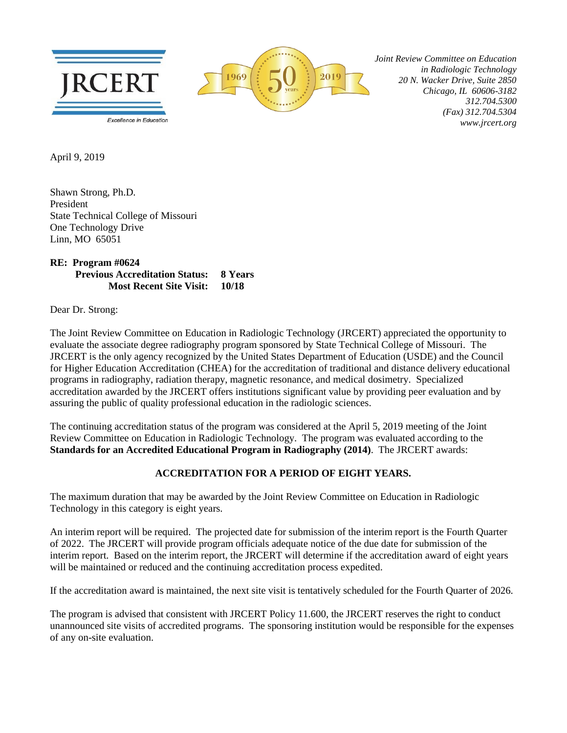

 *Joint Review Committee on Education in Radiologic Technology 20 N. Wacker Drive, Suite 2850 Chicago, IL 60606-3182 312.704.5300 (Fax) 312.704.5304 www.jrcert.org*

April 9, 2019

Shawn Strong, Ph.D. President State Technical College of Missouri One Technology Drive Linn, MO 65051

## **RE: Program #0624 Previous Accreditation Status: 8 Years Most Recent Site Visit: 10/18**

Dear Dr. Strong:

The Joint Review Committee on Education in Radiologic Technology (JRCERT) appreciated the opportunity to evaluate the associate degree radiography program sponsored by State Technical College of Missouri. The JRCERT is the only agency recognized by the United States Department of Education (USDE) and the Council for Higher Education Accreditation (CHEA) for the accreditation of traditional and distance delivery educational programs in radiography, radiation therapy, magnetic resonance, and medical dosimetry. Specialized accreditation awarded by the JRCERT offers institutions significant value by providing peer evaluation and by assuring the public of quality professional education in the radiologic sciences.

The continuing accreditation status of the program was considered at the April 5, 2019 meeting of the Joint Review Committee on Education in Radiologic Technology. The program was evaluated according to the **Standards for an Accredited Educational Program in Radiography (2014)**. The JRCERT awards:

## **ACCREDITATION FOR A PERIOD OF EIGHT YEARS.**

The maximum duration that may be awarded by the Joint Review Committee on Education in Radiologic Technology in this category is eight years.

An interim report will be required. The projected date for submission of the interim report is the Fourth Quarter of 2022. The JRCERT will provide program officials adequate notice of the due date for submission of the interim report. Based on the interim report, the JRCERT will determine if the accreditation award of eight years will be maintained or reduced and the continuing accreditation process expedited.

If the accreditation award is maintained, the next site visit is tentatively scheduled for the Fourth Quarter of 2026.

The program is advised that consistent with JRCERT Policy 11.600, the JRCERT reserves the right to conduct unannounced site visits of accredited programs. The sponsoring institution would be responsible for the expenses of any on-site evaluation.